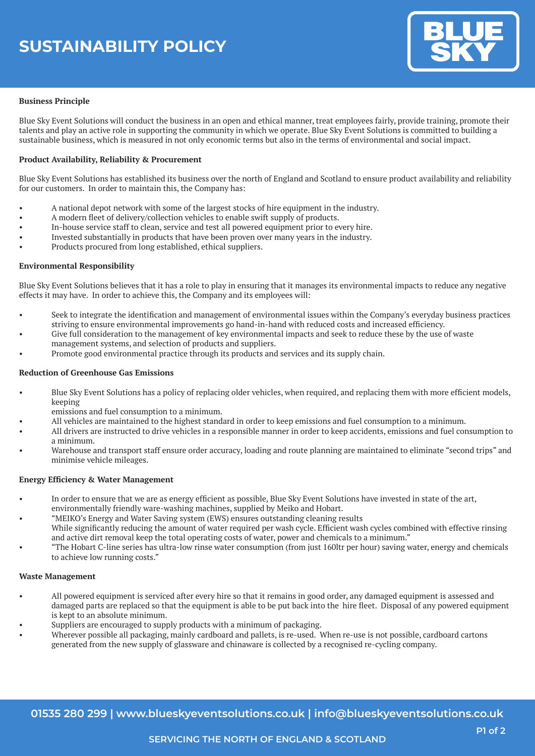

# **Business Principle**

Blue Sky Event Solutions will conduct the business in an open and ethical manner, treat employees fairly, provide training, promote their talents and play an active role in supporting the community in which we operate. Blue Sky Event Solutions is committed to building a sustainable business, which is measured in not only economic terms but also in the terms of environmental and social impact.

# **Product Availability, Reliability & Procurement**

Blue Sky Event Solutions has established its business over the north of England and Scotland to ensure product availability and reliability for our customers. In order to maintain this, the Company has:

- A national depot network with some of the largest stocks of hire equipment in the industry.
- A modern fleet of delivery/collection vehicles to enable swift supply of products.
- In-house service staff to clean, service and test all powered equipment prior to every hire.
- Invested substantially in products that have been proven over many years in the industry.
- Products procured from long established, ethical suppliers.

# **Environmental Responsibility**

Blue Sky Event Solutions believes that it has a role to play in ensuring that it manages its environmental impacts to reduce any negative effects it may have. In order to achieve this, the Company and its employees will:

- Seek to integrate the identification and management of environmental issues within the Company's everyday business practices striving to ensure environmental improvements go hand-in-hand with reduced costs and increased efficiency.
- Give full consideration to the management of key environmental impacts and seek to reduce these by the use of waste management systems, and selection of products and suppliers.
- Promote good environmental practice through its products and services and its supply chain.

# **Reduction of Greenhouse Gas Emissions**

- Blue Sky Event Solutions has a policy of replacing older vehicles, when required, and replacing them with more efficient models, keeping
- emissions and fuel consumption to a minimum.
- All vehicles are maintained to the highest standard in order to keep emissions and fuel consumption to a minimum.
- All drivers are instructed to drive vehicles in a responsible manner in order to keep accidents, emissions and fuel consumption to a minimum.
- Warehouse and transport staff ensure order accuracy, loading and route planning are maintained to eliminate "second trips" and minimise vehicle mileages.

### **Energy Efficiency & Water Management**

- In order to ensure that we are as energy efficient as possible, Blue Sky Event Solutions have invested in state of the art,
- environmentally friendly ware-washing machines, supplied by Meiko and Hobart.
	- "MEIKO's Energy and Water Saving system (EWS) ensures outstanding cleaning results
- While significantly reducing the amount of water required per wash cycle. Efficient wash cycles combined with effective rinsing and active dirt removal keep the total operating costs of water, power and chemicals to a minimum."
- • "The Hobart C-line series has ultra-low rinse water consumption (from just 160ltr per hour) saving water, energy and chemicals to achieve low running costs."

### **Waste Management**

- All powered equipment is serviced after every hire so that it remains in good order, any damaged equipment is assessed and damaged parts are replaced so that the equipment is able to be put back into the hire fleet. Disposal of any powered equipment is kept to an absolute minimum.
- Suppliers are encouraged to supply products with a minimum of packaging.
- Wherever possible all packaging, mainly cardboard and pallets, is re-used. When re-use is not possible, cardboard cartons generated from the new supply of glassware and chinaware is collected by a recognised re-cycling company.

**01535 280 299 | www.blueskyeventsolutions.co.uk | info@blueskyeventsolutions.co.uk**